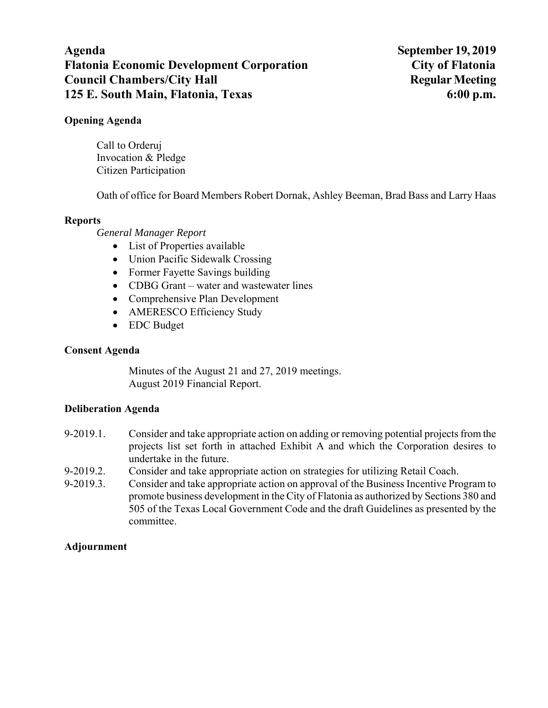# **Agenda September 19, 2019 Flatonia Economic Development Corporation City of Flatonia Council Chambers/City Hall Secure 2.5 All Regular Meeting Regular Meeting 2.5 All Regular Meeting 2.5 All Regular Meeting 2.5 All Regular Meeting 3.6 All Regular Meeting 3.6 All Regular Meeting 3.6 All Regular Meeting 3.6 125 E. South Main, Flatonia, Texas 6:00 p.m.**

## **Opening Agenda**

Call to Orderuj Invocation & Pledge Citizen Participation

Oath of office for Board Members Robert Dornak, Ashley Beeman, Brad Bass and Larry Haas

### **Reports**

### *General Manager Report*

- List of Properties available
- Union Pacific Sidewalk Crossing
- Former Fayette Savings building
- CDBG Grant water and wastewater lines
- Comprehensive Plan Development
- AMERESCO Efficiency Study
- EDC Budget

### **Consent Agenda**

Minutes of the August 21 and 27, 2019 meetings. August 2019 Financial Report.

### **Deliberation Agenda**

- 9-2019.1. Consider and take appropriate action on adding or removing potential projects from the projects list set forth in attached Exhibit A and which the Corporation desires to undertake in the future.
- 9-2019.2. Consider and take appropriate action on strategies for utilizing Retail Coach.
- 9-2019.3. Consider and take appropriate action on approval of the Business Incentive Program to promote business development in the City of Flatonia as authorized by Sections 380 and 505 of the Texas Local Government Code and the draft Guidelines as presented by the committee.

### **Adjournment**